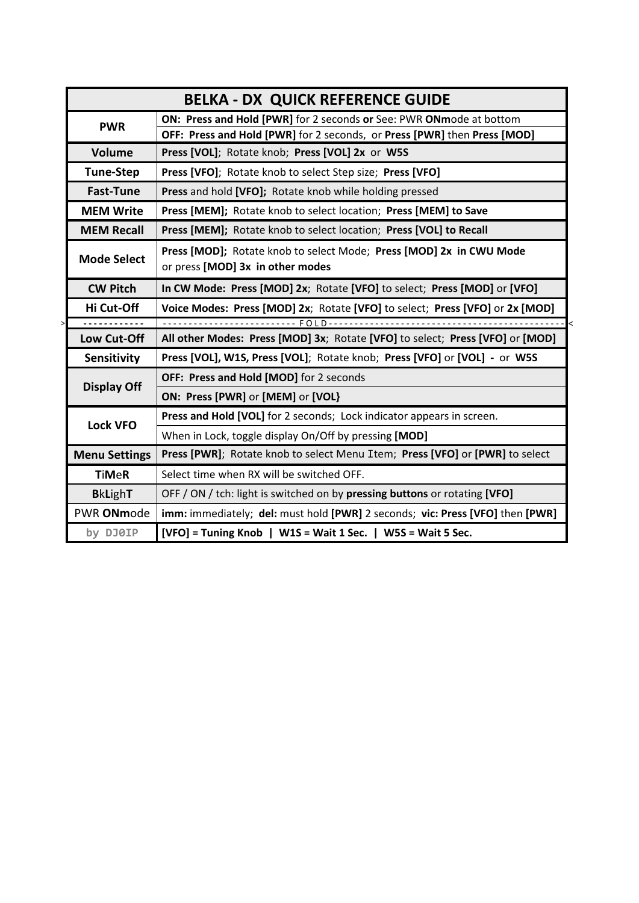| <b>BELKA - DX QUICK REFERENCE GUIDE</b> |                                                                               |
|-----------------------------------------|-------------------------------------------------------------------------------|
| <b>PWR</b>                              | ON: Press and Hold [PWR] for 2 seconds or See: PWR ONmode at bottom           |
|                                         | OFF: Press and Hold [PWR] for 2 seconds, or Press [PWR] then Press [MOD]      |
| Volume                                  | Press [VOL]; Rotate knob; Press [VOL] 2x or W5S                               |
| <b>Tune-Step</b>                        | Press [VFO]; Rotate knob to select Step size; Press [VFO]                     |
| <b>Fast-Tune</b>                        | Press and hold [VFO]; Rotate knob while holding pressed                       |
| <b>MEM Write</b>                        | Press [MEM]; Rotate knob to select location; Press [MEM] to Save              |
| <b>MEM Recall</b>                       | Press [MEM]; Rotate knob to select location; Press [VOL] to Recall            |
| <b>Mode Select</b>                      | Press [MOD]; Rotate knob to select Mode; Press [MOD] 2x in CWU Mode           |
|                                         | or press [MOD] 3x in other modes                                              |
| <b>CW Pitch</b>                         | In CW Mode: Press [MOD] 2x; Rotate [VFO] to select; Press [MOD] or [VFO]      |
| Hi Cut-Off                              | Voice Modes: Press [MOD] 2x; Rotate [VFO] to select; Press [VFO] or 2x [MOD]  |
|                                         |                                                                               |
| Low Cut-Off                             | All other Modes: Press [MOD] 3x; Rotate [VFO] to select; Press [VFO] or [MOD] |
| Sensitivity                             | Press [VOL], W1S, Press [VOL]; Rotate knob; Press [VFO] or [VOL] - or W5S     |
| <b>Display Off</b>                      | OFF: Press and Hold [MOD] for 2 seconds                                       |
|                                         | ON: Press [PWR] or [MEM] or [VOL}                                             |
| <b>Lock VFO</b>                         | Press and Hold [VOL] for 2 seconds; Lock indicator appears in screen.         |
|                                         | When in Lock, toggle display On/Off by pressing [MOD]                         |
| <b>Menu Settings</b>                    | Press [PWR]; Rotate knob to select Menu Item; Press [VFO] or [PWR] to select  |
| <b>TiMeR</b>                            | Select time when RX will be switched OFF.                                     |
| <b>BkLighT</b>                          | OFF / ON / tch: light is switched on by pressing buttons or rotating [VFO]    |
| PWR ONmode                              | imm: immediately; del: must hold [PWR] 2 seconds; vic: Press [VFO] then [PWR] |
| by DJ0IP                                | [VFO] = Tuning Knob   W1S = Wait 1 Sec.   W5S = Wait 5 Sec.                   |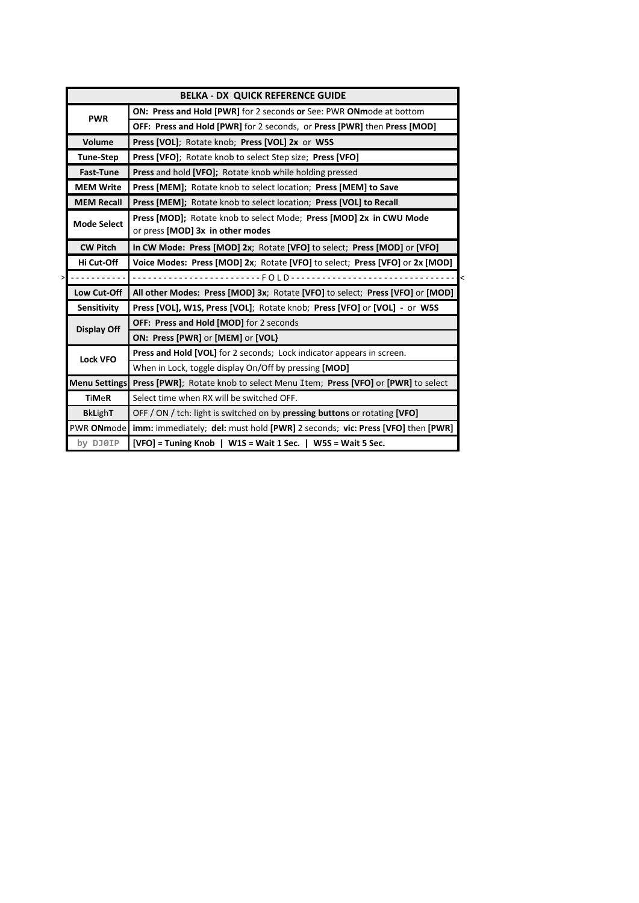|                    | <b>BELKA - DX QUICK REFERENCE GUIDE</b>                                                    |
|--------------------|--------------------------------------------------------------------------------------------|
| <b>PWR</b>         | <b>ON: Press and Hold [PWR]</b> for 2 seconds or See: PWR ONmode at bottom                 |
|                    | OFF: Press and Hold [PWR] for 2 seconds, or Press [PWR] then Press [MOD]                   |
| Volume             | Press [VOL]; Rotate knob; Press [VOL] 2x or W5S                                            |
| <b>Tune-Step</b>   | Press [VFO]; Rotate knob to select Step size; Press [VFO]                                  |
| <b>Fast-Tune</b>   | <b>Press</b> and hold <b>[VFO]</b> ; Rotate knob while holding pressed                     |
| <b>MEM Write</b>   | Press [MEM]; Rotate knob to select location; Press [MEM] to Save                           |
| <b>MEM Recall</b>  | Press [MEM]; Rotate knob to select location; Press [VOL] to Recall                         |
| <b>Mode Select</b> | Press [MOD]; Rotate knob to select Mode; Press [MOD] 2x in CWU Mode                        |
|                    | or press [MOD] 3x in other modes                                                           |
| <b>CW Pitch</b>    | In CW Mode: Press [MOD] 2x; Rotate [VFO] to select; Press [MOD] or [VFO]                   |
| Hi Cut-Off         | Voice Modes: Press [MOD] 2x; Rotate [VFO] to select; Press [VFO] or 2x [MOD]               |
| <u>.</u>           |                                                                                            |
| Low Cut-Off        | All other Modes: Press [MOD] 3x; Rotate [VFO] to select; Press [VFO] or [MOD]              |
| Sensitivity        | Press [VOL], W1S, Press [VOL]; Rotate knob; Press [VFO] or [VOL] - or W5S                  |
| <b>Display Off</b> | OFF: Press and Hold [MOD] for 2 seconds                                                    |
|                    | ON: Press [PWR] or [MEM] or [VOL]                                                          |
| <b>Lock VFO</b>    | Press and Hold [VOL] for 2 seconds; Lock indicator appears in screen.                      |
|                    | When in Lock, toggle display On/Off by pressing [MOD]                                      |
|                    | Menu Settings Press [PWR]; Rotate knob to select Menu Item; Press [VFO] or [PWR] to select |
| <b>TiMeR</b>       | Select time when RX will be switched OFF.                                                  |
| <b>BkLighT</b>     | OFF / ON / tch: light is switched on by pressing buttons or rotating [VFO]                 |
| PWR ONmode         | <b>imm:</b> immediately; del: must hold [PWR] 2 seconds; vic: Press [VFO] then [PWR]       |
| by DJ0IP           | $[VFO]$ = Tuning Knob   W1S = Wait 1 Sec.   W5S = Wait 5 Sec.                              |